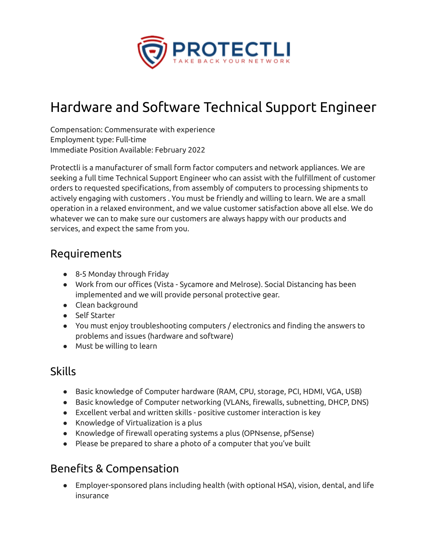

# Hardware and Software Technical Support Engineer

Compensation: Commensurate with experience Employment type: Full-time Immediate Position Available: February 2022

Protectli is a manufacturer of small form factor computers and network appliances. We are seeking a full time Technical Support Engineer who can assist with the fulfillment of customer orders to requested specifications, from assembly of computers to processing shipments to actively engaging with customers . You must be friendly and willing to learn. We are a small operation in a relaxed environment, and we value customer satisfaction above all else. We do whatever we can to make sure our customers are always happy with our products and services, and expect the same from you.

## Requirements

- 8-5 Monday through Friday
- Work from our offices (Vista Sycamore and Melrose). Social Distancing has been implemented and we will provide personal protective gear.
- Clean background
- Self Starter
- You must enjoy troubleshooting computers / electronics and finding the answers to problems and issues (hardware and software)
- Must be willing to learn

#### Skills

- Basic knowledge of Computer hardware (RAM, CPU, storage, PCI, HDMI, VGA, USB)
- Basic knowledge of Computer networking (VLANs, firewalls, subnetting, DHCP, DNS)
- Excellent verbal and written skills positive customer interaction is key
- Knowledge of Virtualization is a plus
- Knowledge of firewall operating systems a plus (OPNsense, pfSense)
- Please be prepared to share a photo of a computer that you've built

## Benefits & Compensation

● Employer-sponsored plans including health (with optional HSA), vision, dental, and life insurance